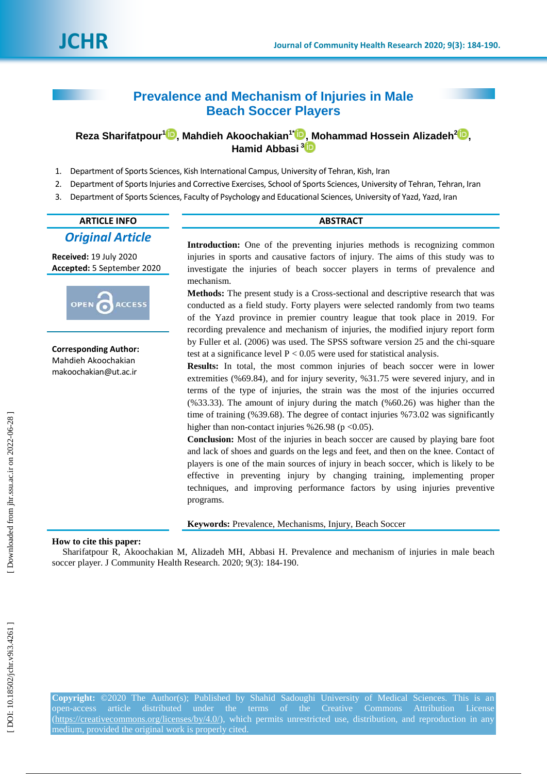# **Prevalence and Mechanism of Injuries in Male Beach Soccer Players**

**Reza Sharifatpour 1 [,](https://orcid.org/0000-0001-9390-3206) Mahdieh Ako ochakian 1 \* [,](https://orcid.org/0000-0003-3214-5135) Mohammad Hossein Alizadeh 2 [,](https://orcid.org/0000-0003-1507-6502) Hamid Abbasi [3](https://orcid.org/0000-0002-1037-6453)**

- 1 . Department of Sports Sciences, Kish International Campus, University of Tehran, Kish, Iran
- 2 . Department of Sports Injuries and Corrective Exercises, School of Sports Sciences, University of Tehran, Tehran, Iran
- 3 . Department of Sports Sciences, Faculty of Psychology and Educational Sciences, University of Yazd, Yazd, Iran

# **ARTICLE INFO ABSTRACT** *Original Article*

**Received:** 19 July 2020 **Accepted:** 5 September 2020



**Corresponding Author:** Mahdieh Ako ochakian makoochakian@ut.ac.ir

**Introduction:** One of the preventing injuries methods is recognizing common injuries in sports and causative factors of injury. The aims of this study was to investigate the injuries of beach soccer players in terms of prevalence and mechanism.

**Methods:** The present study is a Cross -sectional and descriptive research that was conducted as a field study. Forty players were selected randomly from two teams of the Yazd province in premier country league that took place in 2019. For recording prevalence and mechanism of injuries, the modified injury report form by Fuller et al. (2006) was used. The SPSS software version 25 and the chi-square test at a significance level  $P < 0.05$  were used for statistical analysis.

**Results:** In total , the most common injuries of beach soccer were in lower extremities (%69.84) , and for injury severity, %31.75 were severed injury, and in terms of the type of injuries, the strain was the most of the injuries occurred  $(%33.33)$ . The amount of injury during the match  $(% 60.26)$  was higher than the time of training (%39.68). The degree of contact injuries %73.02 was significantly higher than non-contact injuries %26.98 (p < 0.05).

**Conclusion:** Most of the injuries in beach soccer are caused by playing bare foot and lack of shoes and guards on the legs and feet, and then on the knee. Contact of players is one of the main sources of injury in beach soccer, which is likely to be effective in preventing injury by changing training, implementing proper techniques, and improving performance factors by using injuries preventive programs.

**Keywords:** Prevalence, Mechanisms, Injury, Beach Soccer

#### **How to cite this paper:**

Sharifatpour R, Ako ochakian M, Alizadeh MH, Abbasi H . Prevalence and mechanism of injuries in male beach soccer player. J Community Health Research. 2020; 9(3): 184-190.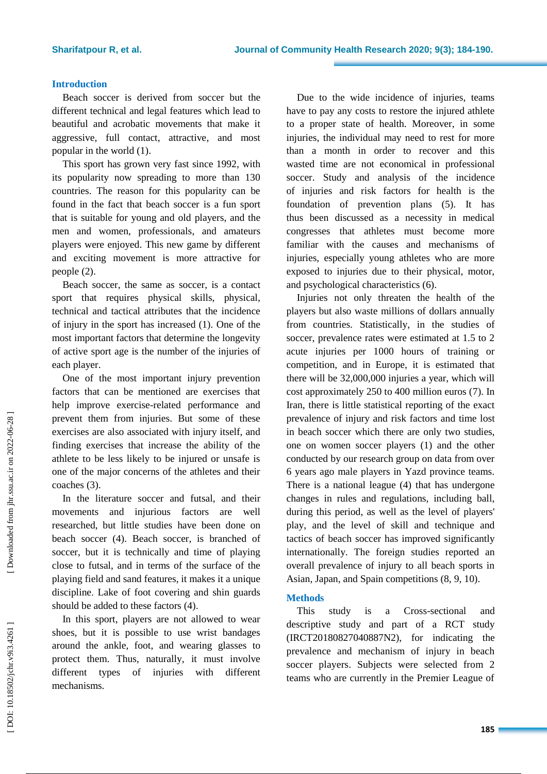# **Introduction**

Beach soccer is derived from soccer but the different technical and legal features which lead to beautifu l and acrobatic movements that make it aggressive, full contact, attractive , and most popular in the world (1).

This sport has grown very fast since 1992, with its popularity now spreading to more than 130 countries. The reason for this popularity can be found in the fact that beach soccer is a fun sport that is suitable for young and old players, and the men and women, professionals , and amateurs players were enjoyed. This new game by different and exciting movement is more attractive for people (2).

Beach soccer, the same as soccer, is a contact sport that requires physical skills, physical, technical and tactical attributes that the incidence of injury in the sport has increased (1). One of the most important factors that determine the longevity of active sport age is the number of the injuries of each player.

One of the most important injury prevention factors that can be mentioned are exercises that help improve exercise-related performance and prevent them from injuries . But some of these exercises are also associated with injury itself, and finding exercises that increase the ability of the athlete to be less likely to be injured or unsafe is one of the major concerns of the athletes and their coaches (3).

In the literature soccer and futsal, and their movements and injurious factors are well researched, but little studies have been done on beach soccer (4). Beach soccer, is branched of soccer, but it is technically and time of playing close to futsal, and in terms of the surface of the playing field and sand features, it makes it a unique discipline . Lake of foot covering and shin guards should be added to these factors (4).

In this sport, players are not allowed to wear shoes, but it is possible to use wrist bandages around the ankle, foot , and wearing glasses to protect them. Thus, naturally , it must involve different types of injuries with different mechanisms.

Due to the wide incidence of injuries, teams have to pay any costs to restore the injured athlete to a proper state of health. Moreover, in some injuries , the individual may need to rest for more than a month in order to recover and this wasted time are not economical in professional soccer. Study and analysis of the incidence of injuries and risk factors for health is the foundation of prevention plans (5). It has thus been discussed as a necessity in medical congresses that athletes must become more familiar with the causes and mechanisms of injuries, especially young athletes who are more exposed to injuries due to their physical, motor, and psychological characteristics (6).

Injuries not only threaten the health of the players but also waste millions of dollars annually from countries. Statistically, in the studies of soccer, prevalence rates were estimated at 1.5 to 2 acute injuries per 1000 hours of training or competition, and in Europe, it is estimated that there will be 32,000,000 injuries a year, which will cost approximately 250 to 400 million euros ( 7). In Iran , there is little statistical reporting of the exact prevalence of injury and risk factors and time lost in beach soccer which t h ere are only two studies, one on women soccer players (1) and the other conducted by our research group on data from over 6 years ago male players in Yazd province teams. There is a national league (4) that has undergone changes in rules and regulations, including ball, during this period, as well as the level of players' play, and the level of skill and technique and tactics of beach soccer has improved significantly internationally. The foreign studie s reported an overall prevalence of injury to all beach sports in Asian, Japan , and Spain competitions (8, 9, 10).

# **Methods**

This study is a Cross -sectional and descriptive study and part of a RCT study (IRCT20180827040887N2), for indicating the prevalence and mechanism of injury in beach soccer players. Subjects were selected from 2 teams who are currently in the Premier League of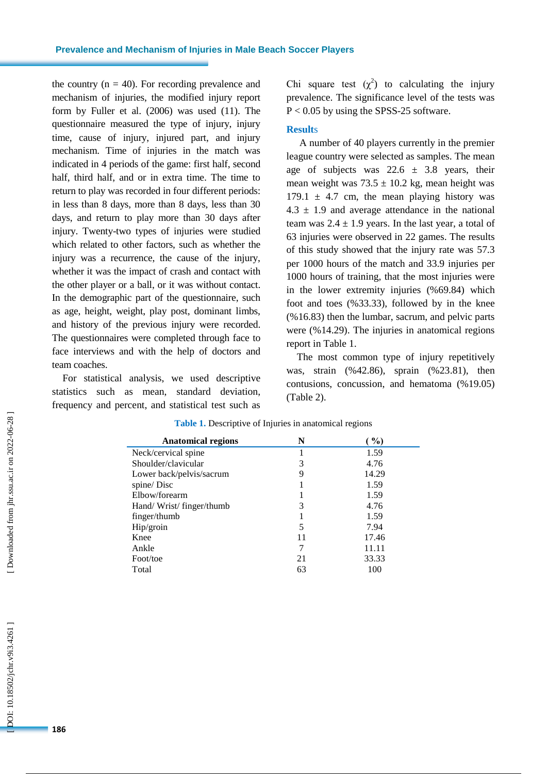the country  $(n = 40)$ . For recording prevalence and mechanism of injuries, the modified injury report form by Fuller et al. (2006) was used (11). The questionnaire measured the type of injury, injury time, cause of injury , injured part , and injury mechanism. Time of injuries in the match was indicated in 4 periods of the game: first half, second half, third half, and or in extra time. The time to return to play was recorded in four different periods: in less than 8 days, more than 8 days, less than 30 days, and return to play more than 30 days after injury. Twenty -two types of injuries were studied which related to other factors, such as whether the injury was a recurrence, the cause of the injury, whether it was the impact of crash and contact with the other player or a ball, or it was without contact. In the demographic part of the questionnaire, such as age, height, weight, play post, dominant limbs , and history of the previous injury were recorded. The questionnaires were completed through face to face interviews and with the help of doctors and team coaches.

For statistical analysis , we used descriptive statistics such as mean, standard deviation, frequency and percent, and statistical test such as

Chi square test  $(\chi^2)$  to calculating the injury prevalence. The significance level of the tests was P < 0.05 by using the SPSS -25 software.

### **Result** s

A number of 40 players currently in the premier league country were selected as samples. The mean age of subjects was  $22.6 \pm 3.8$  years, their mean weight was  $73.5 \pm 10.2$  kg, mean height was 179.1  $\pm$  4.7 cm, the mean playing history was  $4.3 \pm 1.9$  and average attendance in the national team was  $2.4 \pm 1.9$  years. In the last year, a total of 63 injuries were observed in 22 games. The results of this study showed that the injury rate was 57.3 per 1000 hours of the match and 33.9 injuries per 1000 hours of training, that the most injuries were in the lower extremity injuries ( %69 .84) which foot and toes ( %33 .33), followed by in the knee ( %16.83) then the lumbar, sacrum, and pelvic parts were ( %14 .29 ). The injuries in anatomical regions report in Table 1 .

The most common type of injury repetitively was, strain (%42.86), sprain (%23 .81), then contusions, concussion , and hematoma (%19.05) (Table 2).

| <b>Anatomical regions</b> | N  | $\%$  |
|---------------------------|----|-------|
| Neck/cervical spine       |    | 1.59  |
| Shoulder/clavicular       | 3  | 4.76  |
| Lower back/pelvis/sacrum  | 9  | 14.29 |
| spine/Disc                |    | 1.59  |
| Elbow/forearm             |    | 1.59  |
| Hand/Wrist/finger/thumb   | 3  | 4.76  |
| finger/thumb              |    | 1.59  |
| Hip/groin                 | 5  | 7.94  |
| Knee                      | 11 | 17.46 |
| Ankle                     | 7  | 11.11 |
| Foot/toe                  | 21 | 33.33 |
| Total                     | 63 | 100   |

#### **Table 1.** Descriptive of Injuries in anatomical regions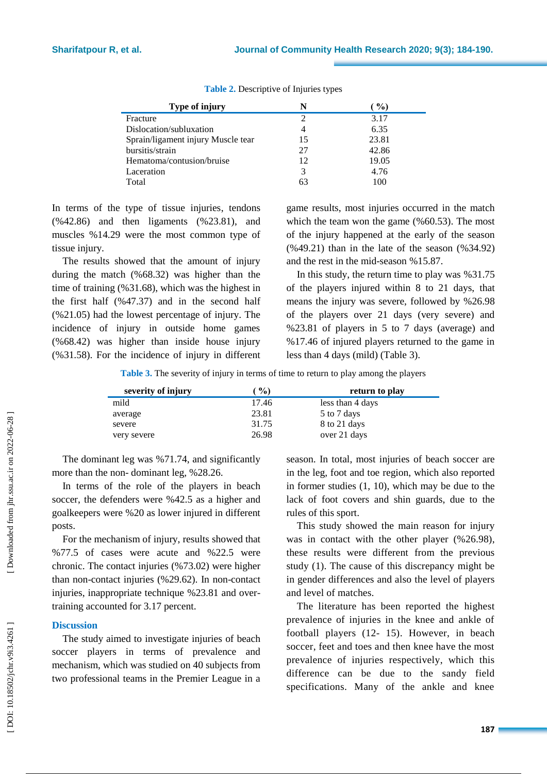| Type of injury                     | N                           | $\%$  |
|------------------------------------|-----------------------------|-------|
| Fracture                           | $\mathcal{D}_{\mathcal{L}}$ | 3.17  |
| Dislocation/subluxation            |                             | 6.35  |
| Sprain/ligament injury Muscle tear | 15                          | 23.81 |
| bursitis/strain                    | 27                          | 42.86 |
| Hematoma/contusion/bruise          | 12                          | 19.05 |
| Laceration                         | 3                           | 4.76  |
| Total                              | 63                          | 100   |

**Table 2.** Descriptive of Injuries types

In terms of the type of tissue injuries , tendons ( %42 .86) and then ligaments ( %23 .81), and muscles %14.29 were the most common type of tissue injury.

The results showed that the amount of injury during the match ( %68.32) was higher than the time of training ( %31.68), which was the highest in the first half ( %47 . 37) and in the second half ( %21.05) had the lowest percentage of injury. The incidence of injury in outside home games (%68.42) was higher than inside house injury (%31.58). For the incidence of injury in different

game results, most injuries occurred in the match which the team won the game (%60.53). The most of the injury happened at the early of the season (%49.21) than in the late of the season (%34.92) and the rest in the mid -season %15.8 7 .

In this study, the return time to play was %31.75 of the players injured within 8 to 21 days, that means the injury was severe, followed by %26.98 of the players over 21 days (very severe) and %23.81 of players in 5 to 7 days (average) and %17.46 of injured players returned to the game in less than 4 days (mild) (Table 3).

**Table 3.** The severity of injury in terms of time to return to play among the players

| severity of injury | $\%$  | return to play   |
|--------------------|-------|------------------|
| mild               | 17.46 | less than 4 days |
| average            | 23.81 | 5 to 7 days      |
| severe             | 31.75 | 8 to 21 days     |
| very severe        | 26.98 | over 21 days     |

The dominant leg was %71 .74 , and significantly more than the non-dominant leg, %28.26.

In terms of the role of the players in beach soccer , the defenders were %42.5 as a higher and goalkeepers were %20 as lower injured in different posts .

For the mechanism of injury, results showed that %77.5 of cases were acute and %22.5 were chronic. The contact injuries ( % 7 3 .02 ) were higher than non -contact injuries ( %29.62 ). In non -contact injuries, inappropriate technique %23.81 and over training accounted for 3.17 percent.

# **Discussion**

The study aimed to investigate injuries of beach soccer players in terms of prevalence and mechanism, which was studied on 40 subjects from two professional teams in the Premier League in a season. In total, most injuries of beach soccer are in the leg, foot and toe region, which also reported in former studies ( 1, 1 0), which may be due to the lack of foot cover s and shin guard s, due to the rules of this sport .

This study showed the main reason for injury was in contact with the other player (%26.98), these results were different from the previous study ( 1 ). The cause of this discrepancy might be in gender differences and also the level of players and level of matches.

The literature has been reported the highest prevalence of injuries in the knee and ankle of football players (12 - 15). However, in beach soccer, feet and toes and then knee have the most prevalence of injuries respectively, which this difference can be due to the sandy field specifications. Many of the ankle and knee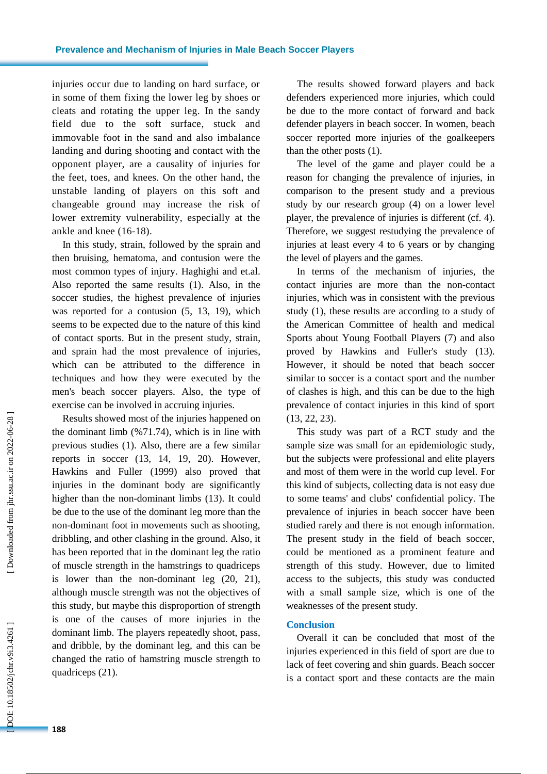injuries occur due to landing on hard surface, or in some of them fixing the lower leg by shoes or cleats and rotating the upper leg. In the sandy field due to the soft surface , stuck and immovable foot in the sand and also imbalance landing and during shooting and contact with the opponent player, are a causality of injuries for the feet, toes , and knees. On the other hand, the unstable landing of players on this soft and changeable ground may increase the risk of lower extremity vulnerability, especially at the ankle and knee (16 -18).

In this study, strain, followed by the sprain and then bruising, hematoma , and contusion were the most common types of injury. Haghighi and et.al. Also reported the same results (1). Also, in the soccer studies, the highest prevalence of injuries was reported for a contusion (5, 13, 19), which seems to be expected due to the nature of t his kind of contact sports . But in the present study, strain , and sprain had the most prevalence of injuries, which can be attributed to the difference in techniques and how they were executed by the men's beach soccer players. Also, the type of exercise can be involved in accruing injuries.

Results showed most of the injuries happened on the dominant limb ( % 7 1 .74), which is in line with previous studies ( 1). Also , there are a few similar reports in soccer (13, 14, 19, 20). However, Hawkins and Fuller (1999) also proved that injuries in the dominant body are significantly higher than the non -dominant limbs (13). It could be due to the use of the dominant leg more than the non -dominant foot in movements such as shooting, dribbling, and other clashing in the ground. Also , it has been reported that in the dominant leg the ratio of muscle strength in the hamstrings to quadriceps is lower than the non -dominant leg (20, 21), although muscle strength was not the objectives of this study, but maybe this disproportion of strength is one of the causes of more injuries in the dominant limb. The players repeatedly shoot, pass , and dribble, by the dominant leg, and this can be changed the ratio of hamstring muscle strength to quadriceps ( 2 1).

The results showed forward players and back defenders experienced more injuries, which could be due to the more contact of forward and back defender players in beach soccer. In women , beach soccer reported more injuries of the goalkeepers than the other posts (1).

The level of the game and player could be a reason for changing the prevalence of injuries, in comparison to the present study and a previous study by our research group (4) on a lower level player, the prevalence of injuries is different (cf. 4). Therefore, we suggest restudying the prevalence of injuries at least every 4 to 6 years or by changing the level of players and the games.

In terms of the mechanism of injuries, the contact injuries are more than the non -contact injuries, which was in consistent with the previous study (1), the s e results are according to a study of the American Committee of health and medical Sports about Young Football Players ( 7 ) and also proved by Hawkins and Fuller's study (13). However, it should be noted that beach soccer similar to soccer is a contact sport and the number of clashes is high, and this can be due to the high prevalence of contact injuries in this kind of sport (13, 22, 23).

This study was part of a RCT study and the sample size was small for an epidemiologic study, but the subjects were professional and elite player s and most of them were in the world cup level. For this kind of subjects, collecting data is not easy due to some teams' and clubs' confidential policy. The prevalence of injuries in beach soccer have been studied rarely and there is not enough information. The present study in the field of beach soccer, could be mentioned as a prominent feature and strength of this study. However, due to limited access to the subjects, this study was conducted with a small sample size, which is one of the weaknesses of the present study.

#### **Conclusion**

Overall it can be concluded that most of the injuries experienced in this field of sport are due to lack of feet covering and shin guards. Beach soccer is a contact sport and these contacts are the main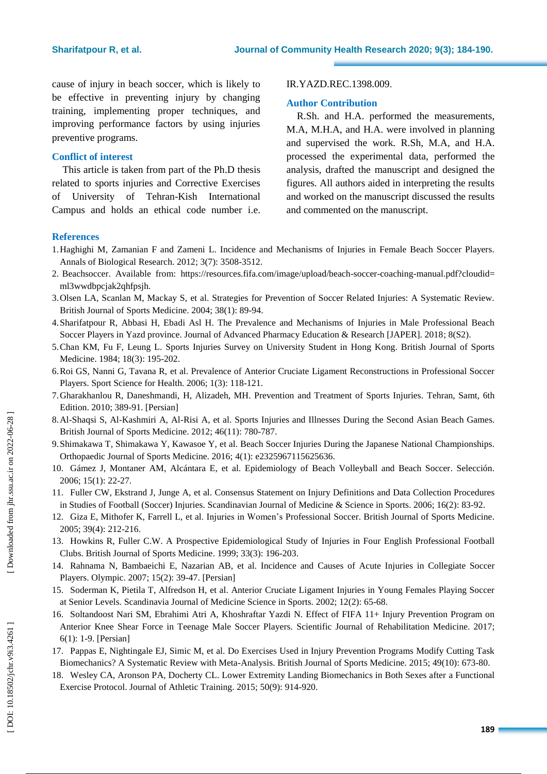cause of injury in beach soccer, which is likely to be effective in preventing injury by changing training, implementing proper techniques, and improving performance factors by using injuries preventive programs.

# **Conflict of interest**

This article is taken from part of the Ph .D thesis related to sport s injuries and Corrective Exercises of [University of Tehran](https://kish.ut.ac.ir/en/-/persian-language-short-term-training-program-at-the-university-of-tehran-kish-international-campus) -Kish International [Campus](https://kish.ut.ac.ir/en/-/persian-language-short-term-training-program-at-the-university-of-tehran-kish-international-campus) and holds an ethical code number i.e.

#### IR.YAZD.REC.1398.009 .

#### **Author Contribution**

R.Sh. and H.A. performed the measurements, M.A, M.H.A, and H.A. were involved in planning and supervised the work. R.Sh, M.A, and H.A. processed the experimental data, performed the analysis, drafted the manuscript and designed the figures. All authors aided in interpreting the results and worked on the manuscript discussed the results and commented on the manuscript .

### **References**

- 1.Haghighi M, Zamanian F and Zameni L. Incidence and Mechanisms of Injuries in Female Beach Soccer Players. Annals of Biological Research. 2012; 3(7): 3508 -3512.
- 2. Beachsoccer. Available from: https://resources.fifa.com/image/upload/beach-soccer-coaching-manual.pdf?cloudid= ml3wwdbpcjak2qhfpsjh .
- 3 .Olsen LA, Scanlan M, Mackay S, et al. Strategies for Prevention of Soccer Related Injuries: A Systematic Review. British Journal of Sports Medicine . 2004; 38(1): 89 -94.
- 4 .Sharifatpour R, Abbasi H, Ebadi Asl H. The Prevalence and Mechanisms of Injuries in Male Professional Beach Soccer Players in Yazd province. Journal of Advanced Pharmacy Education & Research [JAPER]. 2018; 8(S2).
- 5 .Chan KM, Fu F, Leung L. Sports Injuries Survey on University Student in Hong Kong. British Journal of Sports Medicine. 1984; 18(3): 195-202.
- 6 .Roi GS, Nanni G, Tavana R, et al. Prevalence of Anterior Cruciate Ligament Reconstructions in Professional Soccer Players. Sport Science for Health. 2006; 1(3): 118 - 121.
- 7 .Gharakhanlou R, Daneshmandi, H, Alizadeh, MH. Prevention and Treatment of Sports Injuries. Tehran, Samt, 6th Edition. 2010; 389 -91. [Persian]
- 8 .Al -Shaqsi S, Al -Kashmiri A, Al -Risi A, et al. Sports Injuries and Illnesses During the Second Asian Beach Games. British Journal of Sports Medicine. 2012; 46(11) : 780 -787.
- 9 .Shimakawa T, Shimakawa Y, Kawasoe Y, et al. Beach Soccer Injuries During the Japanese National Championships. Orthopaedic Journal of Sports Medicine. 2016; 4(1): e2325967115625636.
- 10 . Gámez J, Montaner AM, Alcántara E, et al. Epidemiology of Beach Volleyball and Beach Soccer. Selección. 2006; 15(1): 22 - 27.
- 11 . Fuller CW, Ekstrand J, Junge A, et al. Consensus Statement on Injury Definitions and Data Collection Procedures in Studies of Football (Soccer) Injuries. Scandinavian Journal of Medicine & Science in Sports. 2006; 16(2): 83-92.
- 12. Giza E, Mithofer K, Farrell L, et al. Injuries in Women's Professional Soccer. British Journal of Sports Medicine. 2005; 39(4): 212 -216.
- 13 . Howkins R, Fuller C.W. A Prospective Epidemiological Study of Injuries in Four English Professional Football Clubs. British Journal of Sports Medicine. 1999; 33(3): 196 -203.
- 14 . Rahnama N, Bambaeichi E, Nazarian AB, et al. Incidence and Causes of Acute Injuries in Collegiate Soccer Players. Olympic. 2007; 15(2): 39 -47 . [Persian]
- 15 . Soderman K, Pietila T, Alfredson H, et al. Anterior Cruciate Ligament Injuries in Young Females Playing Soccer at Senior Levels. Scandinavia Journal of Medicine Science in Sports. 2002; 12(2) : 65 -68.
- 16 . Soltandoost Nari SM, Ebrahimi Atri A, Khoshraftar Yazdi N. Effect of FIFA 11+ Injury Prevention Program on Anterior Knee Shear Force in Teenage Male Soccer Players. Scientific Journal of Rehabilitation Medicine. 2017; 6(1): 1 -9. [Persian]
- 17 . Pappas E, Nightingale EJ, Simic M, et al. Do Exercises Used in Injury Prevention Programs Modify Cutting Task Biomechanics? A Systematic Review with Meta -Analysis. British Journal of Sports Medicine. 2015; 49(10): 673 -80.
- 18 . Wesley CA, Aronson PA, Docherty CL. Lower Extremity Landing Biomechanics in Both Sexes after a Functional Exercise Protocol. Journal of Athletic Training. 2015; 50(9): 914-920.